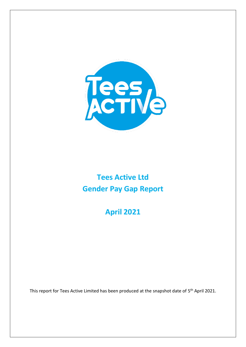

# **Tees Active Ltd Gender Pay Gap Report**

**April 2021**

This report for Tees Active Limited has been produced at the snapshot date of 5<sup>th</sup> April 2021.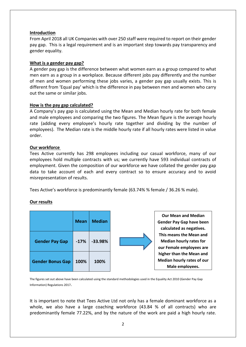#### **Introduction**

From April 2018 all UK Companies with over 250 staff were required to report on their gender pay gap. This is a legal requirement and is an important step towards pay transparency and gender equality.

## **What is a gender pay gap?**

A gender pay gap is the difference between what women earn as a group compared to what men earn as a group in a workplace. Because different jobs pay differently and the number of men and women performing these jobs varies, a gender pay gap usually exists. This is different from 'Equal pay' which is the difference in pay between men and women who carry out the same or similar jobs.

## **How is the pay gap calculated?**

A Company's pay gap is calculated using the Mean and Median hourly rate for both female and male employees and comparing the two figures. The Mean figure is the average hourly rate (adding every employee's hourly rate together and dividing by the number of employees). The Median rate is the middle hourly rate if all hourly rates were listed in value order.

## **Our workforce**

Tees Active currently has 298 employees including our casual workforce, many of our employees hold multiple contracts with us; we currently have 593 individual contracts of employment. Given the composition of our workforce we have collated the gender pay gap data to take account of each and every contract so to ensure accuracy and to avoid misrepresentation of results.

Tees Active's workforce is predominantly female (63.74% % female / 36.26 % male).

# **Our results**



The figures set out above have been calculated using the standard methodologies used in the Equality Act 2010 (Gender Pay Gap Information) Regulations 2017.

It is important to note that Tees Active Ltd not only has a female dominant workforce as a whole, we also have a large coaching workforce (43.84 % of all contracts) who are predominantly female 77.22%, and by the nature of the work are paid a high hourly rate.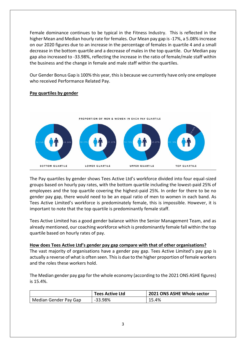Female dominance continues to be typical in the Fitness Industry. This is reflected in the higher Mean and Median hourly rate for females. Our Mean pay gap is -17%, a 5.08% increase on our 2020 figures due to an increase in the percentage of females in quartile 4 and a small decrease in the bottom quartile and a decrease of males in the top quartile. Our Median pay gap also increased to -33.98%, reflecting the increase in the ratio of female/male staff within the business and the change in female and male staff within the quartiles.

Our Gender Bonus Gap is 100% this year, this is because we currently have only one employee who received Performance Related Pay.



# **Pay quartiles by gender**

The Pay quartiles by gender shows Tees Active Ltd's workforce divided into four equal-sized groups based on hourly pay rates, with the bottom quartile including the lowest-paid 25% of employees and the top quartile covering the highest-paid 25%. In order for there to be no gender pay gap, there would need to be an equal ratio of men to women in each band. As Tees Active Limited's workforce is predominately female, this is impossible. However, it is important to note that the top quartile is predominantly female staff.

Tees Active Limited has a good gender balance within the Senior Management Team, and as already mentioned, our coaching workforce which is predominantly female fall within the top quartile based on hourly rates of pay.

# **How does Tees Active Ltd's gender pay gap compare with that of other organisations?**

The vast majority of organisations have a gender pay gap. Tees Active Limited's pay gap is actually a reverse of what is often seen. This is due to the higher proportion of female workers and the roles these workers hold.

The Median gender pay gap for the whole economy (according to the 2021 ONS ASHE figures) is 15.4%.

|                       | <b>Tees Active Ltd</b> | 2021 ONS ASHE Whole sector |
|-----------------------|------------------------|----------------------------|
| Median Gender Pay Gap | $-33.98%$              | 15.4%                      |